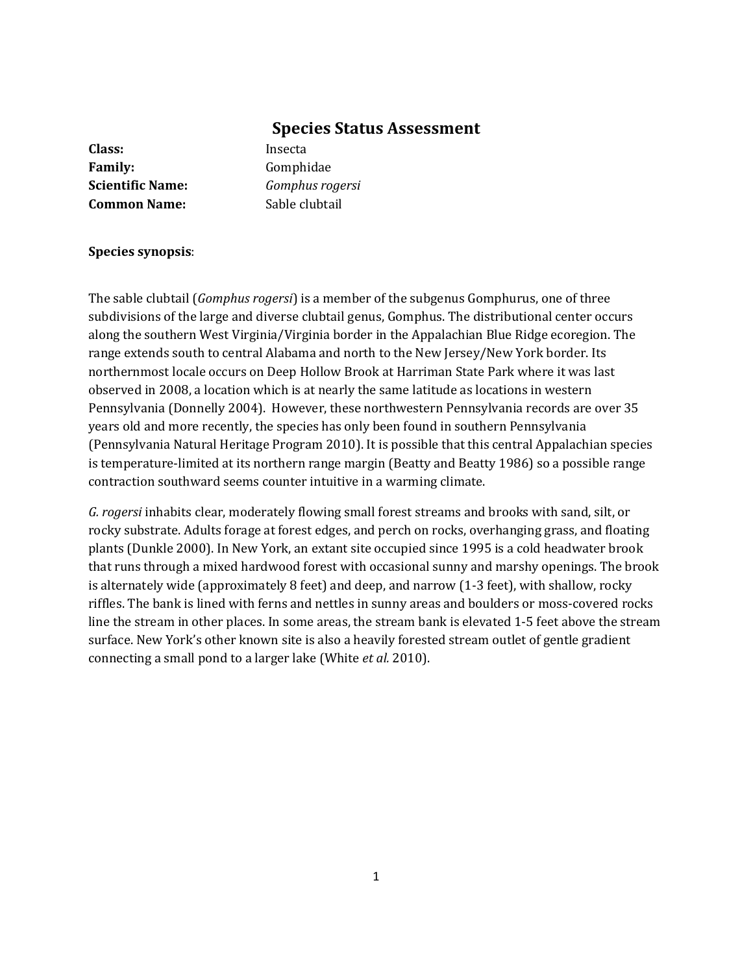# **Species Status Assessment**

**Class:** Insecta Family: Gomphidae **Scientific Name:** *Gomphus rogersi* **Common Name:** Sable clubtail

### **Species synopsis**:

The sable clubtail (*Gomphus rogersi*) is a member of the subgenus Gomphurus, one of three subdivisions of the large and diverse clubtail genus, Gomphus. The distributional center occurs along the southern West Virginia/Virginia border in the Appalachian Blue Ridge ecoregion. The range extends south to central Alabama and north to the New Jersey/New York border. Its northernmost locale occurs on Deep Hollow Brook at Harriman State Park where it was last observed in 2008, a location which is at nearly the same latitude as locations in western Pennsylvania (Donnelly 2004). However, these northwestern Pennsylvania records are over 35 years old and more recently, the species has only been found in southern Pennsylvania (Pennsylvania Natural Heritage Program 2010). It is possible that this central Appalachian species is temperature-limited at its northern range margin (Beatty and Beatty 1986) so a possible range contraction southward seems counter intuitive in a warming climate.

*G. rogersi* inhabits clear, moderately flowing small forest streams and brooks with sand, silt, or rocky substrate. Adults forage at forest edges, and perch on rocks, overhanging grass, and floating plants (Dunkle 2000). In New York, an extant site occupied since 1995 is a cold headwater brook that runs through a mixed hardwood forest with occasional sunny and marshy openings. The brook is alternately wide (approximately 8 feet) and deep, and narrow (1-3 feet), with shallow, rocky riffles. The bank is lined with ferns and nettles in sunny areas and boulders or moss-covered rocks line the stream in other places. In some areas, the stream bank is elevated 1-5 feet above the stream surface. New York's other known site is also a heavily forested stream outlet of gentle gradient connecting a small pond to a larger lake (White *et al.* 2010).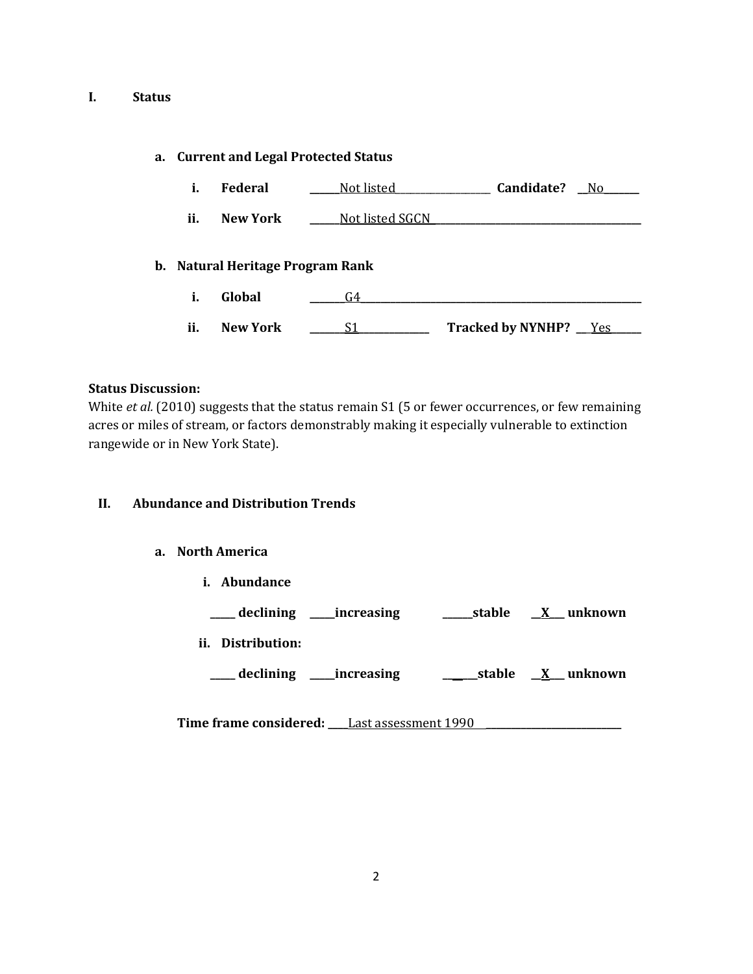## **I. Status**

### **a. Current and Legal Protected Status**

| i.  | <b>Federal</b>  | Not listed                       | Candidate?<br>No.        |  |
|-----|-----------------|----------------------------------|--------------------------|--|
| ii. | New York        | Not listed SGCN                  |                          |  |
|     |                 | b. Natural Heritage Program Rank |                          |  |
| i.  | Global          | G4                               |                          |  |
| ii. | <b>New York</b> | S1                               | Tracked by NYNHP? __ Yes |  |

### **Status Discussion:**

White *et al.* (2010) suggests that the status remain S1 (5 or fewer occurrences, or few remaining acres or miles of stream, or factors demonstrably making it especially vulnerable to extinction rangewide or in New York State).

## **II. Abundance and Distribution Trends**

## **a. North America**

**i. Abundance**

**\_\_\_\_\_ declining \_\_\_\_\_increasing \_\_\_\_\_\_stable \_\_X\_\_\_ unknown**

**ii. Distribution:**

**\_\_\_\_\_ declining \_\_\_\_\_increasing \_\_\_\_\_\_\_stable \_\_X\_\_\_ unknown**

**Time frame considered: \_\_\_\_**Last assessment 1990 **\_\_\_\_\_\_\_\_\_\_\_\_\_\_\_\_\_\_\_\_\_\_\_\_\_\_\_**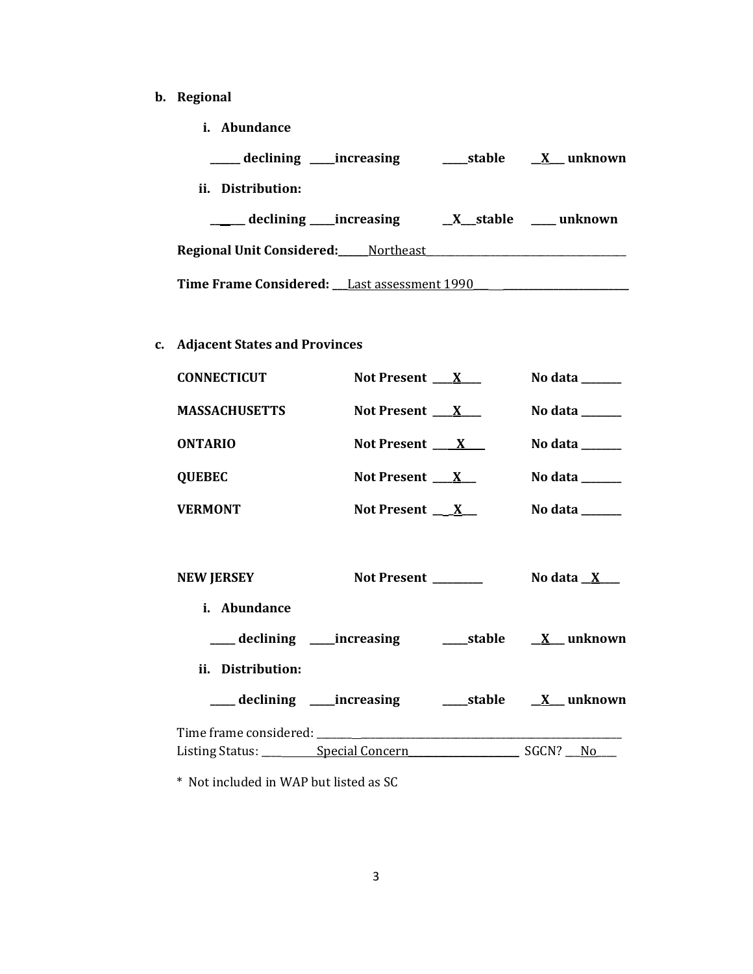- **b. Regional** 
	- **i. Abundance**

| declining _____increasing                   | ____stable | X unknown                   |  |  |
|---------------------------------------------|------------|-----------------------------|--|--|
| ii. Distribution:                           |            |                             |  |  |
| declining ____increasing                    |            | $X$ stable $\qquad$ unknown |  |  |
| <b>Regional Unit Considered:</b> Mortheast  |            |                             |  |  |
| Time Frame Considered: Last assessment 1990 |            |                             |  |  |

# **c. Adjacent States and Provinces**

| <b>CONNECTICUT</b>   | Not Present $X$          | No data ______                                                                     |
|----------------------|--------------------------|------------------------------------------------------------------------------------|
| <b>MASSACHUSETTS</b> | Not Present $X_{-}$      | No data $\_\_\_\_\_\_\_\_\_\_\_\_\$                                                |
| <b>ONTARIO</b>       | Not Present $X$          | No data $\_\_\_\_\_\_\_\_\_\_\_\_\_\_\_\_\_\_\_\_\_\_\_\_\_\_\_\_\_\_\_\_\_\_\_\_$ |
| <b>QUEBEC</b>        | Not Present $X$          | No data $\_\_\_\_\_\_\_\_\_\_\_\_\_\_\_\_\_\_\_\_\_\_\_\_\_\_\_\_\_\_\_\_\_\_\_\_$ |
| <b>VERMONT</b>       | Not Present $\mathbf{X}$ | No data                                                                            |

| NEW JERSEY                                 | Not Present |  | No data $X_{-}$  |  |
|--------------------------------------------|-------------|--|------------------|--|
| <i>i.</i> Abundance                        |             |  |                  |  |
| ____ declining _____increasing             |             |  | stable X unknown |  |
| ii. Distribution:                          |             |  |                  |  |
| ____ declining _____increasing             |             |  | stable X unknown |  |
|                                            |             |  |                  |  |
| Listing Status: __________ Special Concern |             |  | SGCN?<br>No.     |  |

\* Not included in WAP but listed as SC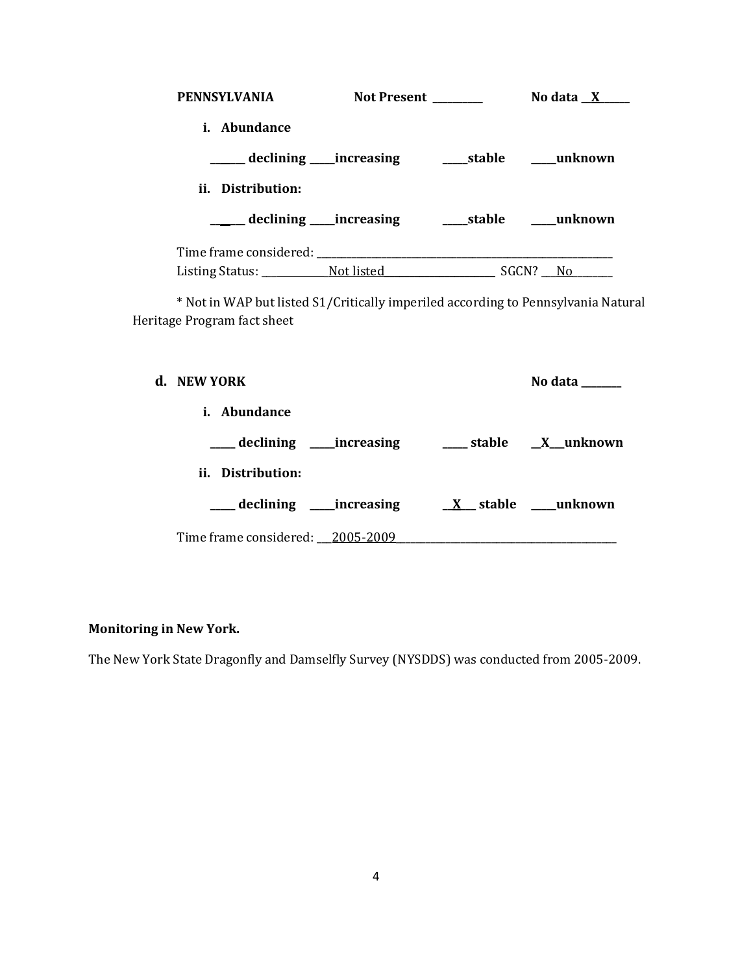| <b>PENNSYLVANIA</b>                           | Not Present |       | No data $X$    |  |
|-----------------------------------------------|-------------|-------|----------------|--|
| <i>i.</i> Abundance                           |             |       |                |  |
| _____ declining ____increasing                |             |       | stable unknown |  |
| ii. Distribution:                             |             |       |                |  |
| ____ declining ____increasing                 |             |       | stable unknown |  |
| Time frame considered: Time frame considered: |             |       |                |  |
| Listing Status: Not listed                    |             | SGCN? | No.            |  |

\* Not in WAP but listed S1/Critically imperiled according to Pennsylvania Natural Heritage Program fact sheet

| d. NEW YORK                      | No data                  |
|----------------------------------|--------------------------|
| <i>i.</i> Abundance              |                          |
|                                  |                          |
| ii. Distribution:                |                          |
| ____ declining _____increasing   | $X$ stable _____ unknown |
| Time frame considered: 2005-2009 |                          |

# **Monitoring in New York.**

The New York State Dragonfly and Damselfly Survey (NYSDDS) was conducted from 2005-2009.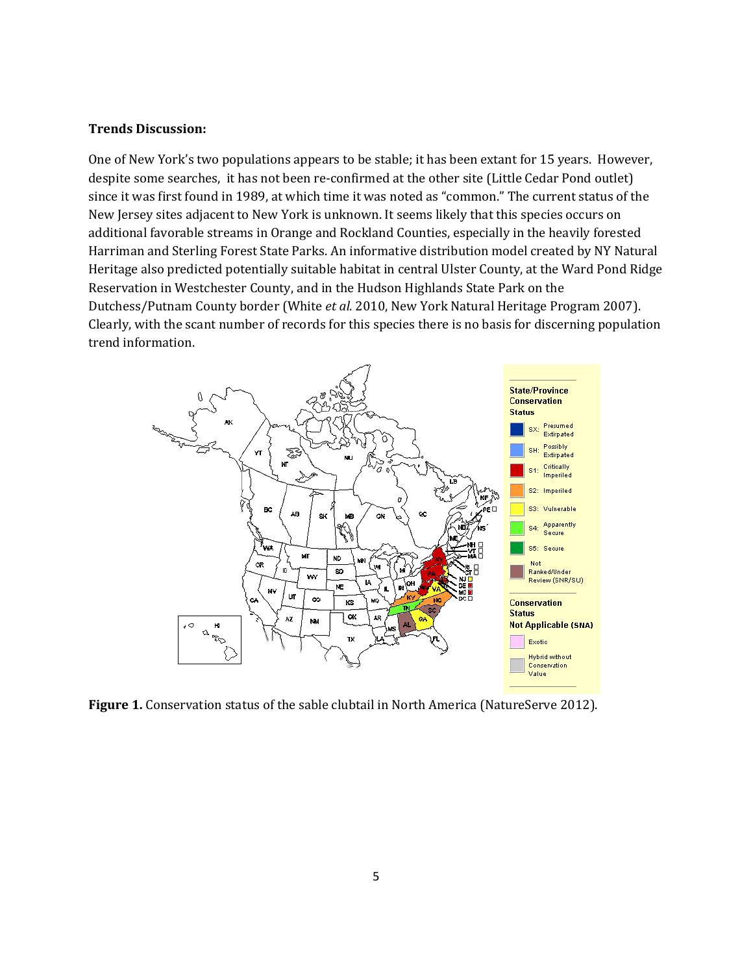#### **Trends Discussion:**

One of New York's two populations appears to be stable; it has been extant for 15 years. However, despite some searches, it has not been re-confirmed at the other site (Little Cedar Pond outlet) since it was first found in 1989, at which time it was noted as "common." The current status of the New Jersey sites adjacent to New York is unknown. It seems likely that this species occurs on additional favorable streams in Orange and Rockland Counties, especially in the heavily forested Harriman and Sterling Forest State Parks. An informative distribution model created by NY Natural Heritage also predicted potentially suitable habitat in central Ulster County, at the Ward Pond Ridge Reservation in Westchester County, and in the Hudson Highlands State Park on the Dutchess/Putnam County border (White *et al.* 2010, New York Natural Heritage Program 2007). Clearly, with the scant number of records for this species there is no basis for discerning population trend information.



**Figure 1.** Conservation status of the sable clubtail in North America (NatureServe 2012).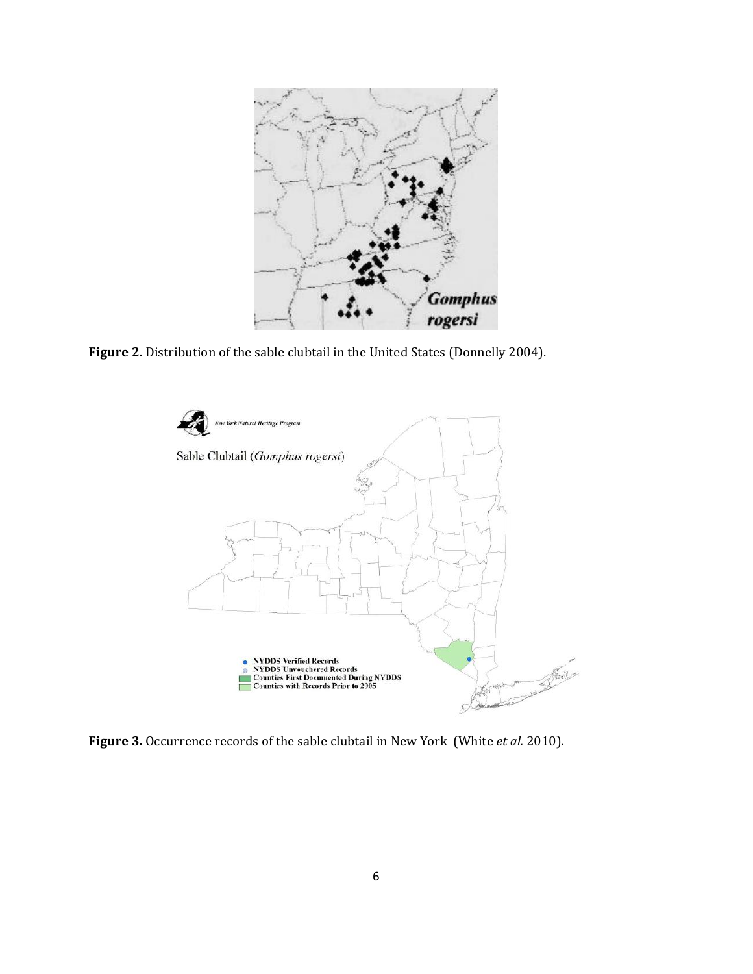

**Figure 2.** Distribution of the sable clubtail in the United States (Donnelly 2004).



**Figure 3.** Occurrence records of the sable clubtail in New York (White *et al.* 2010).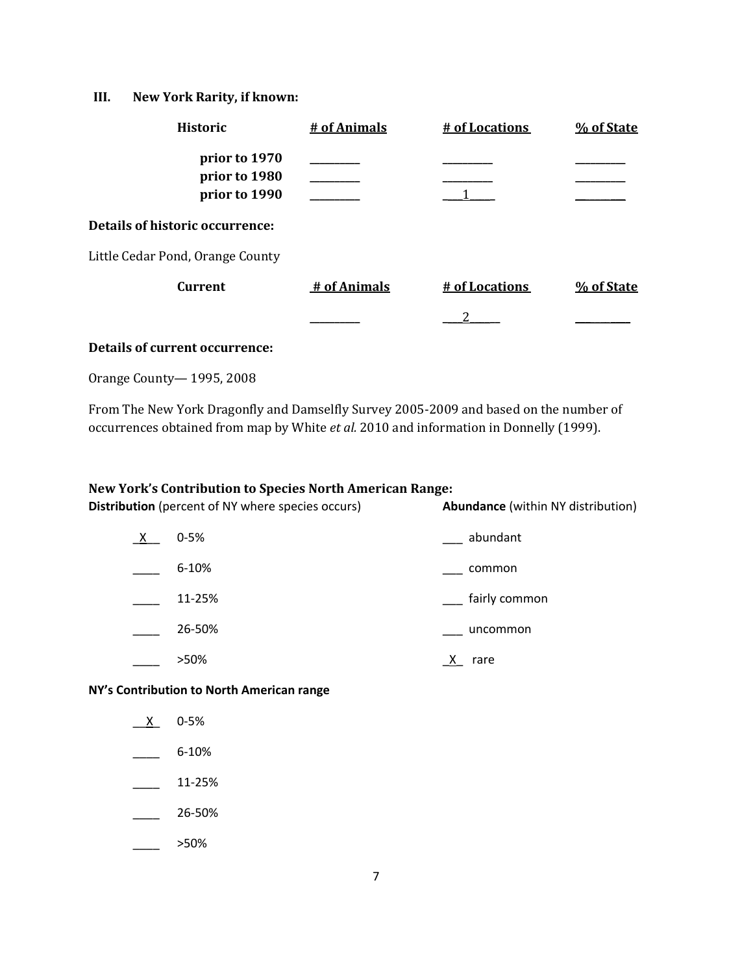## **III. New York Rarity, if known:**

| <b>Historic</b>                                 | # of Animals | # of Locations | % of State |
|-------------------------------------------------|--------------|----------------|------------|
| prior to 1970<br>prior to 1980<br>prior to 1990 |              |                |            |
| Details of historic occurrence:                 |              |                |            |
| Little Cedar Pond, Orange County                |              |                |            |
| <b>Current</b>                                  | # of Animals | # of Locations | % of State |
|                                                 |              |                |            |

## **Details of current occurrence:**

Orange County— 1995, 2008

From The New York Dragonfly and Damselfly Survey 2005-2009 and based on the number of occurrences obtained from map by White *et al.* 2010 and information in Donnelly (1999).

#### **New York's Contribution to Species North American Range:**

| <b>Distribution</b> (percent of NY where species occurs) |           | <b>Abundance</b> (within NY distribution) |  |
|----------------------------------------------------------|-----------|-------------------------------------------|--|
| $X_{-}$                                                  | $0 - 5%$  | abundant                                  |  |
|                                                          | $6 - 10%$ | common                                    |  |
|                                                          | 11-25%    | fairly common                             |  |
|                                                          | 26-50%    | uncommon                                  |  |
|                                                          | >50%      | rare                                      |  |

### **NY's Contribution to North American range**

- $X$  0-5%
- \_\_\_\_ 6-10%
- $\frac{11-25\%}{2}$
- \_\_\_\_ 26-50%
- $\frac{\ }{\ }$  >50%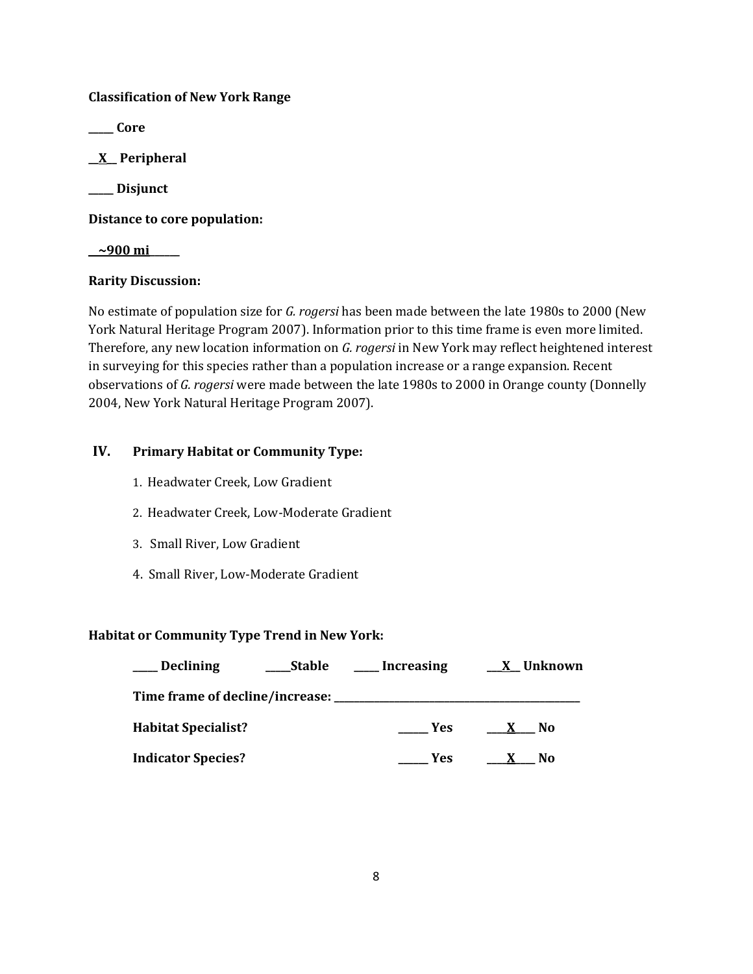## **Classification of New York Range**

**\_\_\_\_\_ Core**

**\_\_X\_\_ Peripheral**

**\_\_\_\_\_ Disjunct**

**Distance to core population:**

**\_\_~900 mi\_\_\_\_\_\_**

## **Rarity Discussion:**

No estimate of population size for *G. rogersi* has been made between the late 1980s to 2000 (New York Natural Heritage Program 2007). Information prior to this time frame is even more limited. Therefore, any new location information on *G. rogersi* in New York may reflect heightened interest in surveying for this species rather than a population increase or a range expansion. Recent observations of *G. rogersi* were made between the late 1980s to 2000 in Orange county (Donnelly 2004, New York Natural Heritage Program 2007).

## **IV. Primary Habitat or Community Type:**

- 1. Headwater Creek, Low Gradient
- 2. Headwater Creek, Low-Moderate Gradient
- 3. Small River, Low Gradient
- 4. Small River, Low-Moderate Gradient

## **Habitat or Community Type Trend in New York:**

| <b>Declining</b>                | <b>Stable</b> | Increasing | X Unknown           |
|---------------------------------|---------------|------------|---------------------|
| Time frame of decline/increase: |               |            |                     |
| <b>Habitat Specialist?</b>      |               | <b>Yes</b> | No.<br>$\mathbf{x}$ |
| <b>Indicator Species?</b>       |               | Yes        | No                  |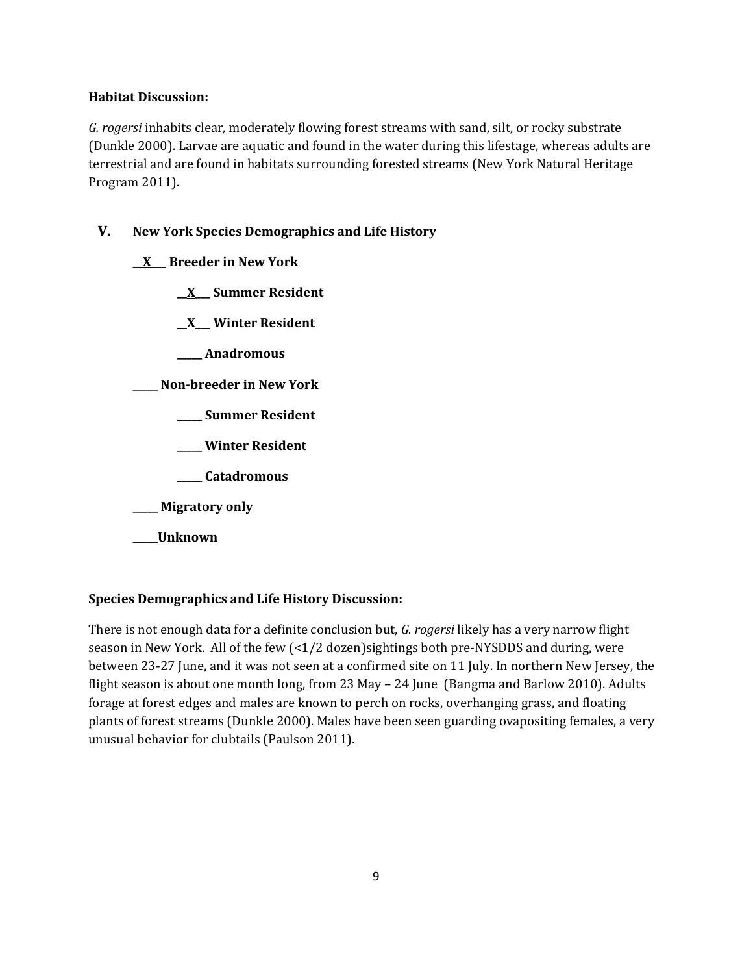## **Habitat Discussion:**

*G. rogersi* inhabits clear, moderately flowing forest streams with sand, silt, or rocky substrate (Dunkle 2000). Larvae are aquatic and found in the water during this lifestage, whereas adults are terrestrial and are found in habitats surrounding forested streams (New York Natural Heritage Program 2011).

# **V. New York Species Demographics and Life History**

**\_\_X\_\_\_ Breeder in New York**

**\_\_X\_\_\_ Summer Resident**

**\_\_X\_\_\_ Winter Resident**

**\_\_\_\_\_ Anadromous**

**\_\_\_\_\_ Non-breeder in New York**

- **\_\_\_\_\_ Summer Resident**
- **\_\_\_\_\_ Winter Resident**
- **\_\_\_\_\_ Catadromous**
- **\_\_\_\_\_ Migratory only**
- **\_\_\_\_\_Unknown**

## **Species Demographics and Life History Discussion:**

There is not enough data for a definite conclusion but, *G. rogersi* likely has a very narrow flight season in New York. All of the few (<1/2 dozen)sightings both pre-NYSDDS and during, were between 23-27 June, and it was not seen at a confirmed site on 11 July. In northern New Jersey, the flight season is about one month long, from 23 May – 24 June (Bangma and Barlow 2010). Adults forage at forest edges and males are known to perch on rocks, overhanging grass, and floating plants of forest streams (Dunkle 2000). Males have been seen guarding ovapositing females, a very unusual behavior for clubtails (Paulson 2011).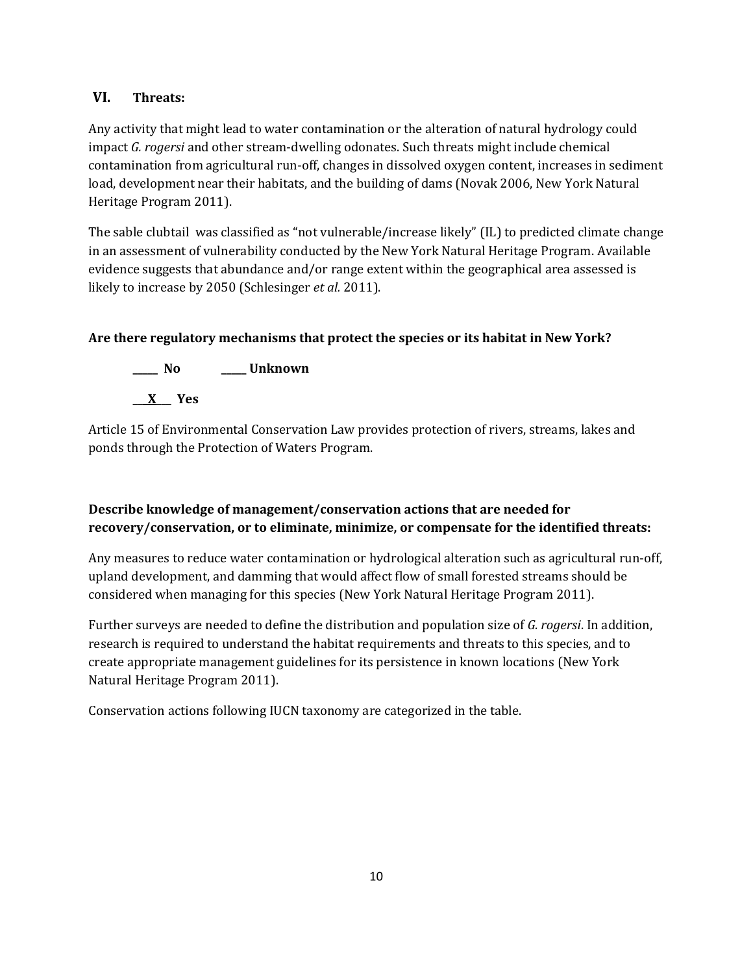## **VI. Threats:**

Any activity that might lead to water contamination or the alteration of natural hydrology could impact *G. rogersi* and other stream-dwelling odonates. Such threats might include chemical contamination from agricultural run-off, changes in dissolved oxygen content, increases in sediment load, development near their habitats, and the building of dams (Novak 2006, New York Natural Heritage Program 2011).

The sable clubtail was classified as "not vulnerable/increase likely" (IL) to predicted climate change in an assessment of vulnerability conducted by the New York Natural Heritage Program. Available evidence suggests that abundance and/or range extent within the geographical area assessed is likely to increase by 2050 (Schlesinger *et al.* 2011).

# **Are there regulatory mechanisms that protect the species or its habitat in New York?**



Article 15 of Environmental Conservation Law provides protection of rivers, streams, lakes and ponds through the Protection of Waters Program.

# **Describe knowledge of management/conservation actions that are needed for recovery/conservation, or to eliminate, minimize, or compensate for the identified threats:**

Any measures to reduce water contamination or hydrological alteration such as agricultural run-off, upland development, and damming that would affect flow of small forested streams should be considered when managing for this species (New York Natural Heritage Program 2011).

Further surveys are needed to define the distribution and population size of *G. rogersi*. In addition, research is required to understand the habitat requirements and threats to this species, and to create appropriate management guidelines for its persistence in known locations (New York Natural Heritage Program 2011).

Conservation actions following IUCN taxonomy are categorized in the table.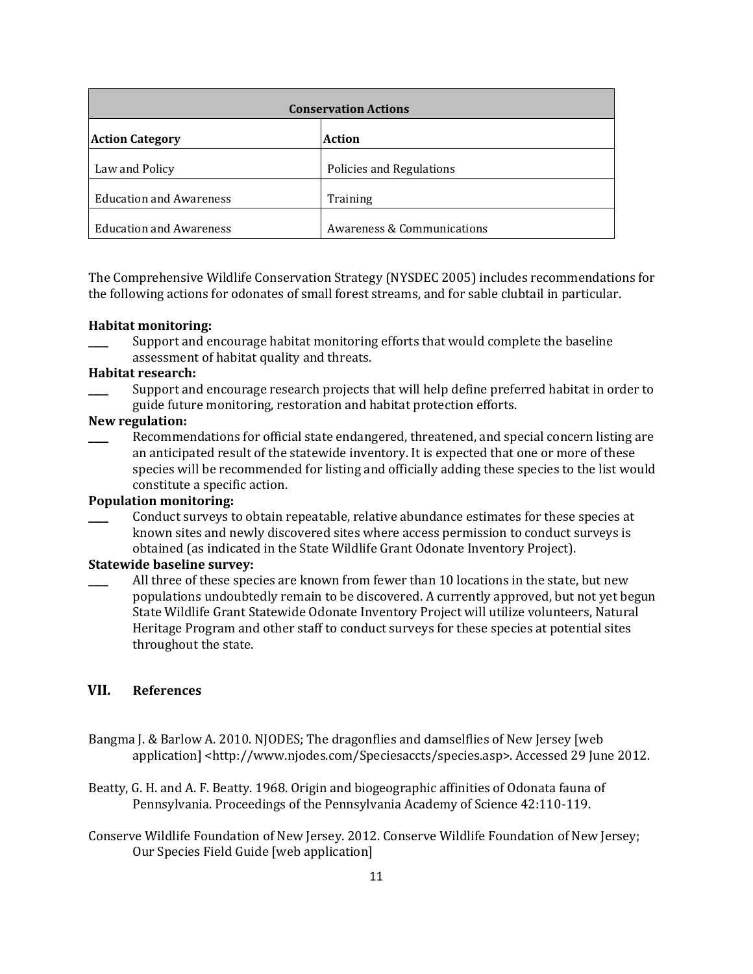| <b>Conservation Actions</b>    |                            |  |
|--------------------------------|----------------------------|--|
| <b>Action Category</b>         | <b>Action</b>              |  |
| Law and Policy                 | Policies and Regulations   |  |
| <b>Education and Awareness</b> | Training                   |  |
| <b>Education and Awareness</b> | Awareness & Communications |  |

The Comprehensive Wildlife Conservation Strategy (NYSDEC 2005) includes recommendations for the following actions for odonates of small forest streams, and for sable clubtail in particular.

#### **Habitat monitoring:**

Support and encourage habitat monitoring efforts that would complete the baseline assessment of habitat quality and threats.

#### **Habitat research:**

\_\_\_\_ Support and encourage research projects that will help define preferred habitat in order to guide future monitoring, restoration and habitat protection efforts.

#### **New regulation:**

Recommendations for official state endangered, threatened, and special concern listing are an anticipated result of the statewide inventory. It is expected that one or more of these species will be recommended for listing and officially adding these species to the list would constitute a specific action.

## **Population monitoring:**

\_\_\_\_ Conduct surveys to obtain repeatable, relative abundance estimates for these species at known sites and newly discovered sites where access permission to conduct surveys is obtained (as indicated in the State Wildlife Grant Odonate Inventory Project).

#### **Statewide baseline survey:**

All three of these species are known from fewer than 10 locations in the state, but new populations undoubtedly remain to be discovered. A currently approved, but not yet begun State Wildlife Grant Statewide Odonate Inventory Project will utilize volunteers, Natural Heritage Program and other staff to conduct surveys for these species at potential sites throughout the state.

## **VII. References**

- Bangma J. & Barlow A. 2010. NJODES; The dragonflies and damselflies of New Jersey [web application] <http://www.njodes.com/Speciesaccts/species.asp>. Accessed 29 June 2012.
- Beatty, G. H. and A. F. Beatty. 1968. Origin and biogeographic affinities of Odonata fauna of Pennsylvania. Proceedings of the Pennsylvania Academy of Science 42:110-119.
- Conserve Wildlife Foundation of New Jersey. 2012. Conserve Wildlife Foundation of New Jersey; Our Species Field Guide [web application]